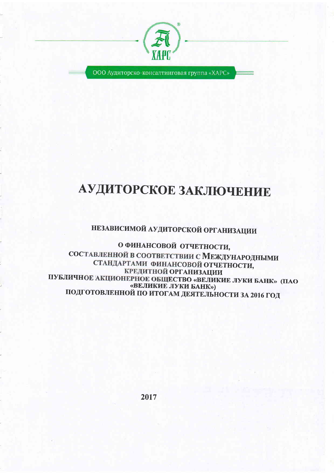

ООО Аудиторско-консалтинговая группа «ХАРС»

# АУДИТОРСКОЕ ЗАКЛЮЧЕНИЕ

## НЕЗАВИСИМОЙ АУДИТОРСКОЙ ОРГАНИЗАЦИИ

О ФИНАНСОВОЙ ОТЧЕТНОСТИ, СОСТАВЛЕННОЙ В СООТВЕТСТВИИ С МЕЖДУНАРОДНЫМИ СТАНДАРТАМИ ФИНАНСОВОЙ ОТЧЕТНОСТИ, КРЕДИТНОЙ ОРГАНИЗАЦИИ ПУБЛИЧНОЕ АКЦИОНЕРНОЕ ОБЩЕСТВО «ВЕЛИКИЕ ЛУКИ БАНК» (ПАО «ВЕЛИКИЕ ЛУКИ БАНК») ПОДГОТОВЛЕННОЙ ПО ИТОГАМ ДЕЯТЕЛЬНОСТИ ЗА 2016 ГОД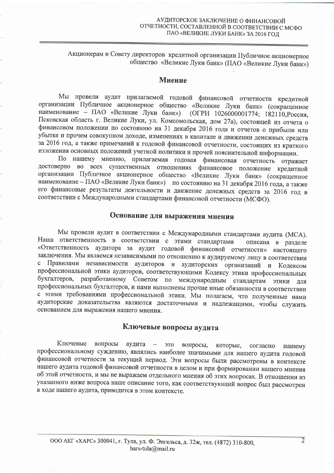## Акционерам и Совету директоров кредитной организации Публичное акционерное общество «Великие Луки банк» (ПАО «Великие Луки банк»)

#### Мнение

Мы провели аудит прилагаемой годовой финансовой отчетности кредитной организации Публичное акционерное общество «Великие Луки банк» (сокращенное наименование - ПАО «Великие Луки банк») (ОГРН 1026000001774; 182110, Россия, Псковская область г. Великие Луки, ул. Комсомольская, дом 27а), состоящей из отчета о финансовом положении по состоянию на 31 декабря 2016 года и отчетов о прибыли или убытке и прочем совокупном доходе, изменениях в капитале и движении денежных средств за 2016 год, а также примечаний к годовой финансовой отчетности, состоящих из краткого изложения основных положений учетной политики и прочей пояснительной информации.

По нашему мнению, прилагаемая годовая финансовая отчетность отражает достоверно во всех существенных отношениях финансовое положение кредитной организации Публичное акционерное общество «Великие Луки банк» (сокращенное наименование - ПАО «Великие Луки банк») по состоянию на 31 декабря 2016 года, а также его финансовые результаты деятельности и движение денежных средств за 2016 год в соответствии с Международными стандартами финансовой отчетности (МСФО).

## Основание для выражения мнения

Мы провели аудит в соответствии с Международными стандартами аудита (МСА). Наша ответственность в соответствии с этими стандартами описана в разделе «Ответственность аудитора за аудит годовой финансовой отчетности» настоящего заключения. Мы являемся независимыми по отношению к аудируемому лицу в соответствии Правилами независимости аудиторов и аудиторских организаций и Кодексом профессиональной этики аудиторов, соответствующими Кодексу этики профессиональных бухгалтеров, разработанному Советом по международным стандартам этики ЛЛЯ профессиональных бухгалтеров, и нами выполнены прочие иные обязанности в соответствии с этими требованиями профессиональной этики. Мы полагаем, что полученные нами аудиторские доказательства являются достаточными и надлежащими, чтобы служить основанием для выражения нашего мнения.

#### Ключевые вопросы аудита

Ключевые вопросы аудита это вопросы, которые, согласно нашему профессиональному суждению, являлись наиболее значимыми для нашего аудита годовой финансовой отчетности за текущий период. Эти вопросы были рассмотрены в контексте нашего аудита годовой финансовой отчетности в целом и при формировании нашего мнения об этой отчетности, и мы не выражаем отдельного мнения об этих вопросах. В отношении из указанного ниже вопроса наше описание того, как соответствующий вопрос был рассмотрен в ходе нашего аудита, приводится в этом контексте.

 $\overline{2}$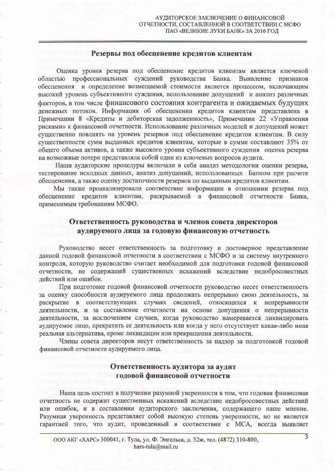#### Резервы под обесценение кредитов клиентам

Оценка уровня резерва под обесценение кредитов клиентам является ключевой областью профессиональных суждений руководства Банка. Выявление признаков обесценения и определение возмещаемой стоимости является процессом, включающим высокий уровень субъективного суждения, использование допущений и анализ различных факторов, в том числе финансового состояния контрагента и ожидаемых будущих денежных потоков. Информация об обесценении кредитов клиентам представлена в Примечании 8 «Кредиты и дебиторская задолженность», Примечании 22 «Управления рисками» к финансовой отчетности. Использование различных моделей и допущений может существенно повлиять на уровень резервов под обесценение кредитов клиентам. В силу существенности сумм выданных кредитов клиентам, которые в сумме составляют 35% от общего объема активов, а также высокого уровня субъективного суждения оценка резерва на возможные потери представляла собой один из ключевых вопросов аудита.

Наши аудиторские процедуры включали в себя анализ методологии оценки резерва, тестирование исходных данных, анализ допущений, использованных Банком при расчете обесценения, а также оценку достаточности резервов по выданным кредитов клиентам.

Мы также проанализировали соответствие информации в отношении резерва под обесценение кредитов клиентам, раскрываемой в финансовой отчетности Банка, применимым требованиям МСФО.

### Ответственность руководства и членов совета директоров аудируемого лица за годовую финансовую отчетность

Руководство несет ответственность за подготовку и достоверное представление данной годовой финансовой отчетности в соответствии с МСФО и за систему внутреннего контроля, которую руководство считает необходимой для подготовки годовой финансовой отчетности, не содержащей существенных искажений вследствие недобросовестных действий или ошибок.

При подготовке годовой финансовой отчетности руководство несет ответственность за оценку способности аудируемого лица продолжать непрерывно свою деятельность, за раскрытие в соответствующих случаях сведений, относящихся к непрерывности деятельности, и за составление отчетности на основе допущения о непрерывности деятельности, за исключением случаев, когда руководство намеревается ликвидировать аудируемое лицо, прекратить ее деятельность или когда у него отсутствует какая-либо иная реальная альтернатива, кроме ликвидации или прекращения деятельности.

Члены совета директоров несут ответственность за надзор за подготовкой годовой финансовой отчетности аудируемого лица.

## Ответственность аудитора за аудит годовой финансовой отчетности

Наша цель состоит в получении разумной уверенности в том, что годовая финансовая отчетность не содержит существенных искажений вследствие недобросовестных действий или ошибок, и в составлении аудиторского заключения, содержащего наше мнение. Разумная уверенность представляет собой высокую степень уверенности, но не является гарантией того, что аудит, проведенный в соответствии с МСА, всегда выявляет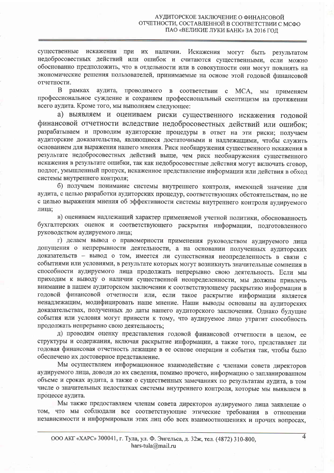существенные искажения при их наличии. Искажения могут быть результатом недобросовестных действий или ошибок и считаются существенными, если можно обоснованно предположить, что в отдельности или в совокупности они могут повлиять на экономические решения пользователей, принимаемые на основе этой годовой финансовой отчетности.

аудита, проводимого в соответствии В рамках c MCA. мы применяем профессиональное суждение и сохраняем профессиональный скептицизм на протяжении всего аудита. Кроме того, мы выполняем следующее:

а) выявляем и оцениваем риски существенного искажения годовой финансовой отчетности вследствие недобросовестных действий или ошибок; разрабатываем и проводим аудиторские процедуры в ответ на эти риски; получаем аудиторские доказательства, являющиеся достаточными и надлежащими, чтобы служить основанием для выражения нашего мнения. Риск необнаружения существенного искажения в результате недобросовестных действий выше, чем риск необнаружения существенного искажения в результате ошибки, так как недобросовестные действия могут включать сговор, подлог, умышленный пропуск, искаженное представление информации или действия в обход системы внутреннего контроля:

б) получаем понимание системы внутреннего контроля, имеющей значение для аудита, с целью разработки аудиторских процедур, соответствующих обстоятельствам, но не с целью выражения мнения об эффективности системы внутреннего контроля аудируемого лица:

в) оцениваем надлежащий характер применяемой учетной политики, обоснованность бухгалтерских оценок и соответствующего раскрытия информации, подготовленного руководством аудируемого лица;

г) делаем вывод о правомерности применения руководством аудируемого лица допущения о непрерывности деятельности, а на основании полученных аудиторских доказательств - вывод о том, имеется ли существенная неопределенность в связи с событиями или условиями, в результате которых могут возникнуть значительные сомнения в способности аудируемого лица продолжать непрерывно свою деятельность. Если мы приходим к выводу о наличии существенной неопределенности, мы должны привлечь внимание в нашем аудиторском заключении к соответствующему раскрытию информации в годовой финансовой отчетности или, если такое раскрытие информации является ненадлежащим, модифицировать наше мнение. Наши выводы основаны на аудиторских доказательствах, полученных до даты нашего аудиторского заключения. Однако будущие события или условия могут привести к тому, что аудируемое лицо утратит способность продолжать непрерывно свою деятельность:

д) проводим оценку представления годовой финансовой отчетности в целом, ее структуры и содержания, включая раскрытие информации, а также того, представляет ли годовая финансовая отчетность лежащие в ее основе операции и события так, чтобы было обеспечено их достоверное представление.

Мы осуществляем информационное взаимодействие с членами совета директоров аудируемого лица, доводя до их сведения, помимо прочего, информацию о запланированном объеме и сроках аудита, а также о существенных замечаниях по результатам аудита, в том числе о значительных недостатках системы внутреннего контроля, которые мы выявляем в процессе аудита.

Мы также предоставляем членам совета директоров аудируемого лица заявление о том, что мы соблюдали все соответствующие этические требования в отношении независимости и информировали этих лиц обо всех взаимоотношениях и прочих вопросах,

 $\overline{4}$